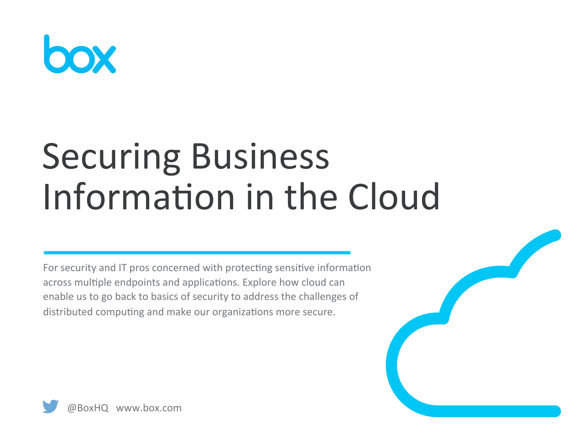

# **Securing Business** Information in the Cloud

For security and IT pros concerned with protecting sensitive information across multiple endpoints and applications. Explore how cloud can enable us to go back to basics of security to address the challenges of distributed computing and make our organizations more secure.

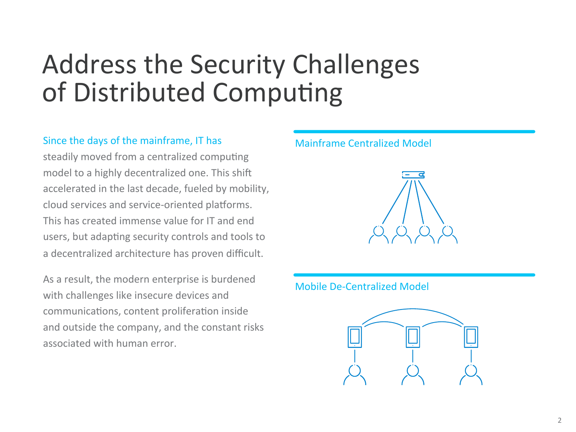# Address the Security Challenges of Distributed Computing

### Since the days of the mainframe, IT has

steadily moved from a centralized computing model to a highly decentralized one. This shift accelerated in the last decade, fueled by mobility, cloud services and service-oriented platforms. This has created immense value for IT and end users, but adapting security controls and tools to a decentralized architecture has proven difficult.

As a result, the modern enterprise is burdened with challenges like insecure devices and communications, content proliferation inside and outside the company, and the constant risks associated with human error.

#### Mainframe Centralized Model



#### Mobile De-Centralized Model

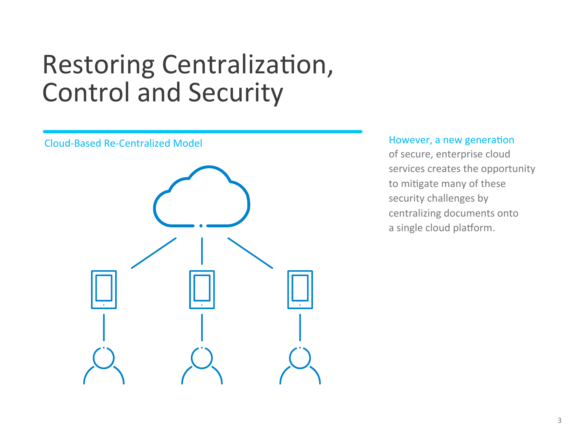# Restoring Centralization, Control and Security



#### However, a new generation

of secure, enterprise cloud services creates the opportunity to mitigate many of these security challenges by centralizing documents onto a single cloud platform.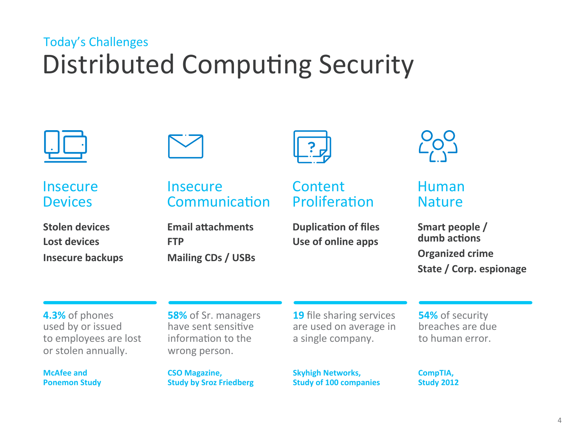### Distributed Computing Security Today's Challenges



**Insecure Devices** 

**Stolen devices** Lost devices **Insecure backups** 



**Insecure** Communication

**Email attachments FTP Mailing CDs / USBs** 



### **Content** Proliferation

**Duplication of files** Use of online apps



### Human Nature

Smart people / dumb actions **Organized crime** State / Corp. espionage

**4.3%** of phones used by or issued to employees are lost or stolen annually.

**McAfee and Ponemon Study** 

**58%** of Sr. managers have sent sensitive information to the wrong person.

**CSO Magazine, Study by Sroz Friedberg**  **19** file sharing services are used on average in a single company.

**Skyhigh Networks, Study of 100 companies**  **54%** of security breaches are due to human error.

**CompTIA, Study 2012**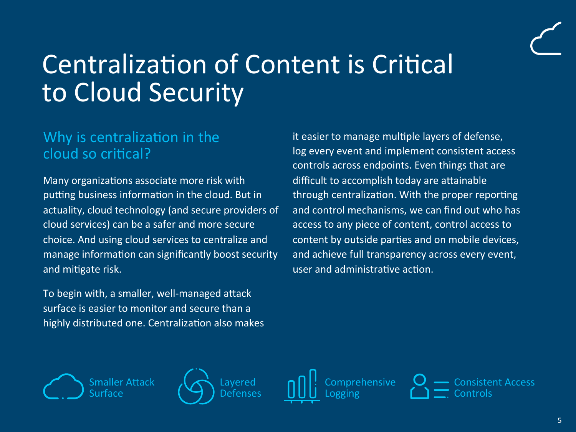# Centralization of Content is Critical to Cloud Security

### Why is centralization in the cloud so critical?

Many organizations associate more risk with putting business information in the cloud. But in actuality, cloud technology (and secure providers of cloud services) can be a safer and more secure choice. And using cloud services to centralize and manage information can significantly boost security and mitigate risk.

To begin with, a smaller, well-managed attack surface is easier to monitor and secure than a highly distributed one. Centralization also makes it easier to manage multiple layers of defense, log every event and implement consistent access controls across endpoints. Even things that are difficult to accomplish today are attainable through centralization. With the proper reporting and control mechanisms, we can find out who has access to any piece of content, control access to content by outside parties and on mobile devices, and achieve full transparency across every event, user and administrative action.







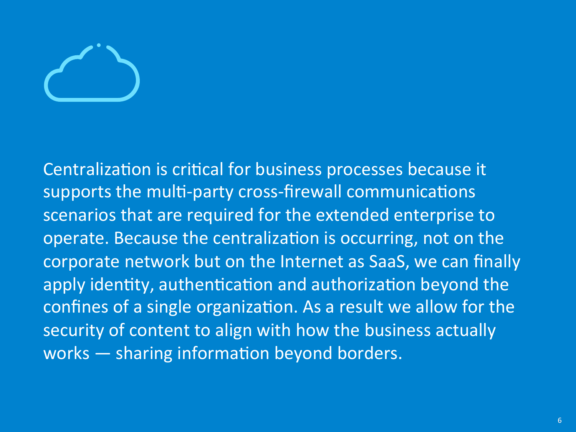Centralization is critical for business processes because it supports the multi-party cross-firewall communications scenarios that are required for the extended enterprise to operate. Because the centralization is occurring, not on the corporate network but on the Internet as SaaS, we can finally apply identity, authentication and authorization beyond the confines of a single organization. As a result we allow for the security of content to align with how the business actually works  $-$  sharing information beyond borders.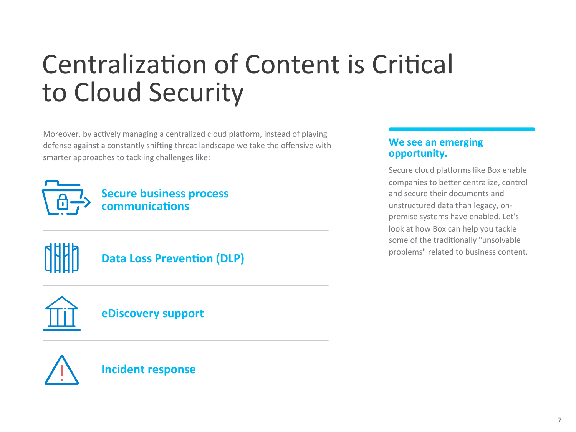# Centralization of Content is Critical to Cloud Security

Moreover, by actively managing a centralized cloud platform, instead of playing defense against a constantly shifting threat landscape we take the offensive with smarter approaches to tackling challenges like:



**Secure business process communications** 



### **Data Loss Prevention (DLP)**



**eDiscovery support** 



**Incident response** 

### **We see an emerging opportunity.**

Secure cloud platforms like Box enable companies to better centralize, control and secure their documents and unstructured data than legacy, onpremise systems have enabled. Let's look at how Box can help you tackle some of the traditionally "unsolvable problems" related to business content.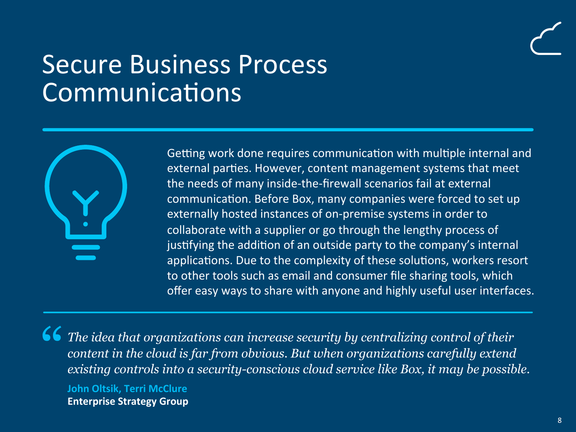### Secure Business Process Communications



Getting work done requires communication with multiple internal and external parties. However, content management systems that meet the needs of many inside-the-firewall scenarios fail at external communication. Before Box, many companies were forced to set up externally hosted instances of on-premise systems in order to collaborate with a supplier or go through the lengthy process of justifying the addition of an outside party to the company's internal applications. Due to the complexity of these solutions, workers resort to other tools such as email and consumer file sharing tools, which offer easy ways to share with anyone and highly useful user interfaces.

<sup>"</sup> *The idea that organizations can increase security by centralizing control of their content in the cloud is far from obvious. But when organizations carefully extend existing controls into a security-conscious cloud service like Box, it may be possible.*  **John Oltsik, Terri McClure Enterprise Strategy Group**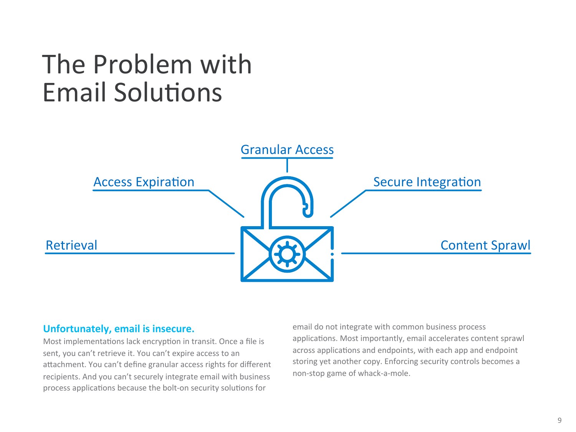## The Problem with **Email Solutions**



#### **Unfortunately, email is insecure.**

Most implementations lack encryption in transit. Once a file is sent, you can't retrieve it. You can't expire access to an attachment. You can't define granular access rights for different recipients. And you can't securely integrate email with business process applications because the bolt-on security solutions for

email do not integrate with common business process applications. Most importantly, email accelerates content sprawl across applications and endpoints, with each app and endpoint storing yet another copy. Enforcing security controls becomes a non-stop game of whack-a-mole.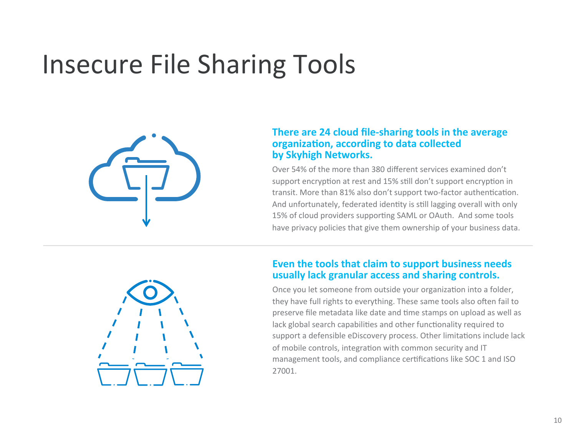# **Insecure File Sharing Tools**



#### **There are 24 cloud file-sharing tools in the average** organization, according to data collected **by Skyhigh Networks.**

Over 54% of the more than 380 different services examined don't support encryption at rest and 15% still don't support encryption in transit. More than 81% also don't support two-factor authentication. And unfortunately, federated identity is still lagging overall with only 15% of cloud providers supporting SAML or OAuth. And some tools have privacy policies that give them ownership of your business data.



### **Even the tools that claim to support business needs** usually lack granular access and sharing controls.

Once you let someone from outside your organization into a folder, they have full rights to everything. These same tools also often fail to preserve file metadata like date and time stamps on upload as well as lack global search capabilities and other functionality required to support a defensible eDiscovery process. Other limitations include lack of mobile controls, integration with common security and IT management tools, and compliance certifications like SOC 1 and ISO 27001.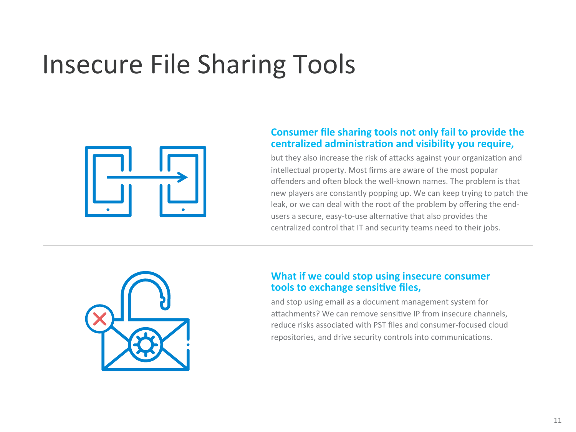# **Insecure File Sharing Tools**



#### **Consumer file sharing tools not only fail to provide the** centralized administration and visibility you require,

but they also increase the risk of attacks against your organization and intellectual property. Most firms are aware of the most popular offenders and often block the well-known names. The problem is that new players are constantly popping up. We can keep trying to patch the leak, or we can deal with the root of the problem by offering the endusers a secure, easy-to-use alternative that also provides the centralized control that IT and security teams need to their jobs.



### **What if we could stop using insecure consumer tools to exchange sensitive files,**

and stop using email as a document management system for attachments? We can remove sensitive IP from insecure channels, reduce risks associated with PST files and consumer-focused cloud repositories, and drive security controls into communications.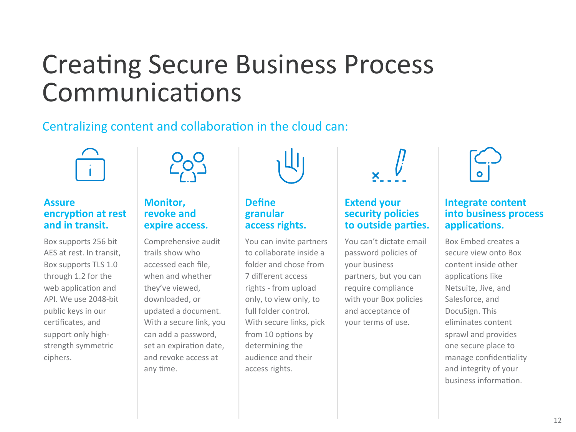## **Creating Secure Business Process** Communications

### Centralizing content and collaboration in the cloud can:



### **Assure encryption at rest** and in transit.

Box supports 256 bit AES at rest. In transit. Box supports TLS 1.0 through 1.2 for the web application and API. We use 2048-bit public keys in our certificates, and support only highstrength symmetric ciphers. 



### **Monitor. revoke and expire access.**

Comprehensive audit trails show who accessed each file, when and whether they've viewed, downloaded, or updated a document. With a secure link, you can add a password, set an expiration date, and revoke access at any time.



### **Define granular**  access rights.

You can invite partners to collaborate inside a folder and chose from 7 different access rights - from upload only, to view only, to full folder control With secure links, pick from 10 options by determining the audience and their access rights.



### **Extend your security policies** to outside parties.

You can't dictate email password policies of your business partners, but you can require compliance with your Box policies and acceptance of your terms of use.



### **Integrate content into business process** applications.

Box Embed creates a secure view onto Box content inside other applications like Netsuite, Jive, and Salesforce, and DocuSign. This eliminates content sprawl and provides one secure place to manage confidentiality and integrity of your business information.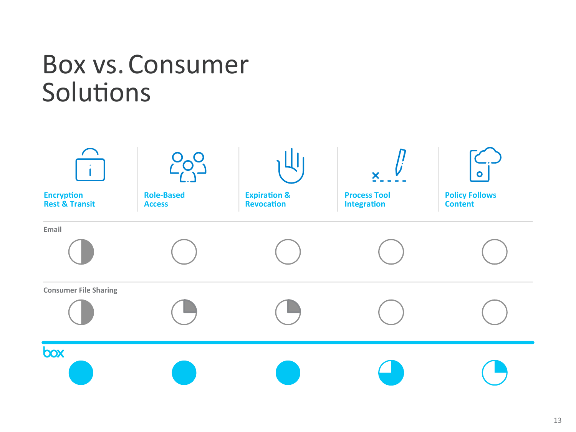### Box vs. Consumer Solutions

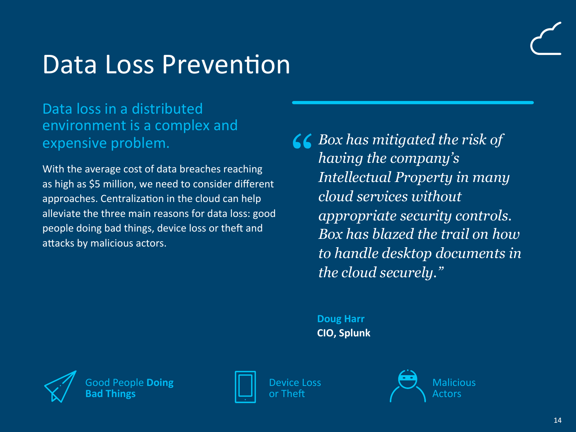### Data Loss Prevention

### Data loss in a distributed environment is a complex and expensive problem.

With the average cost of data breaches reaching as high as \$5 million, we need to consider different approaches. Centralization in the cloud can help alleviate the three main reasons for data loss: good people doing bad things, device loss or theft and attacks by malicious actors.

<sup>"</sup> *Box has mitigated the risk of having the company's Intellectual Property in many cloud services without appropriate security controls. Box has blazed the trail on how to handle desktop documents in the cloud securely."* 

> **Doug Harr CIO, Splunk**



Pople **Doing Bad Things** 



Device Loss or Theft



**Malicious** Actors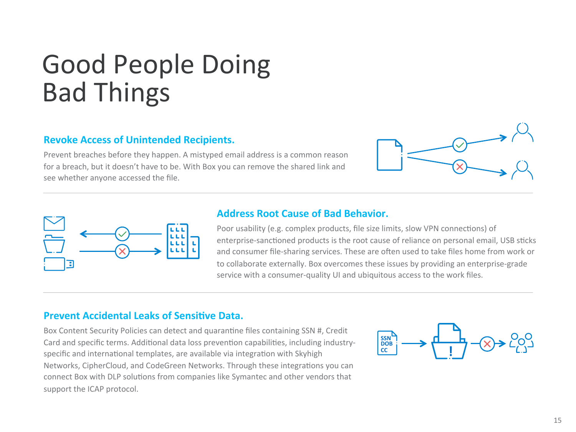# Good People Doing Bad Things

### **Revoke Access of Unintended Recipients.**

Prevent breaches before they happen. A mistyped email address is a common reason for a breach, but it doesn't have to be. With Box you can remove the shared link and see whether anyone accessed the file.





#### **Address Root Cause of Bad Behavior.**

Poor usability (e.g. complex products, file size limits, slow VPN connections) of enterprise-sanctioned products is the root cause of reliance on personal email, USB sticks and consumer file-sharing services. These are often used to take files home from work or to collaborate externally. Box overcomes these issues by providing an enterprise-grade service with a consumer-quality UI and ubiquitous access to the work files.

#### **Prevent Accidental Leaks of Sensitive Data.**

Box Content Security Policies can detect and quarantine files containing SSN #, Credit Card and specific terms. Additional data loss prevention capabilities, including industryspecific and international templates, are available via integration with Skyhigh Networks, CipherCloud, and CodeGreen Networks. Through these integrations you can connect Box with DLP solutions from companies like Symantec and other vendors that support the ICAP protocol.

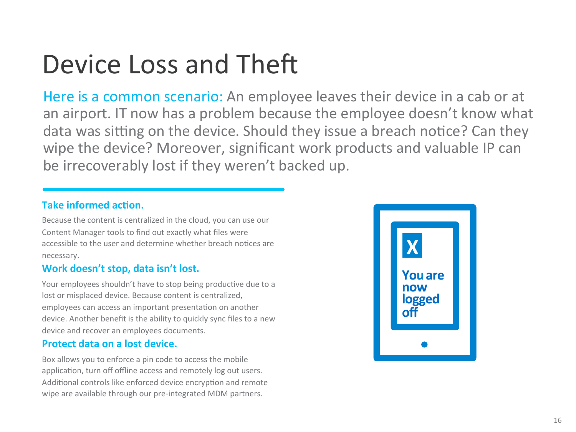# Device Loss and Theft

Here is a common scenario: An employee leaves their device in a cab or at an airport. IT now has a problem because the employee doesn't know what data was sitting on the device. Should they issue a breach notice? Can they wipe the device? Moreover, significant work products and valuable IP can be irrecoverably lost if they weren't backed up.

### **Take informed action.**

Because the content is centralized in the cloud, you can use our Content Manager tools to find out exactly what files were accessible to the user and determine whether breach notices are necessary. 

### Work doesn't stop, data isn't lost.

Your employees shouldn't have to stop being productive due to a lost or misplaced device. Because content is centralized, employees can access an important presentation on another device. Another benefit is the ability to quickly sync files to a new device and recover an employees documents.

### **Protect data on a lost device.**

Box allows you to enforce a pin code to access the mobile application, turn off offline access and remotely log out users. Additional controls like enforced device encryption and remote wipe are available through our pre-integrated MDM partners.

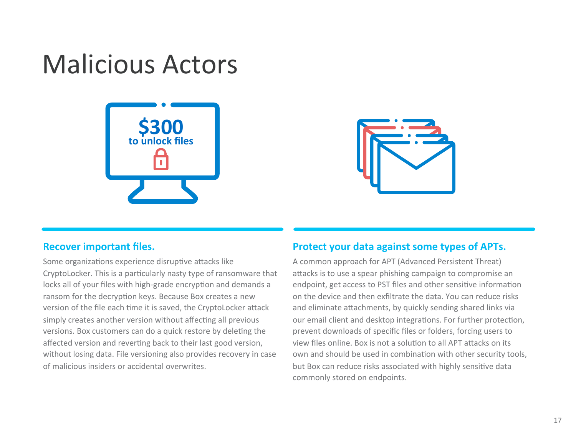### Malicious Actors





#### **Recover important files.**

Some organizations experience disruptive attacks like CryptoLocker. This is a particularly nasty type of ransomware that locks all of your files with high-grade encryption and demands a ransom for the decryption keys. Because Box creates a new version of the file each time it is saved, the CryptoLocker attack simply creates another version without affecting all previous versions. Box customers can do a quick restore by deleting the affected version and reverting back to their last good version, without losing data. File versioning also provides recovery in case of malicious insiders or accidental overwrites.

#### **Protect your data against some types of APTs.**

A common approach for APT (Advanced Persistent Threat) attacks is to use a spear phishing campaign to compromise an endpoint, get access to PST files and other sensitive information on the device and then exfiltrate the data. You can reduce risks and eliminate attachments, by quickly sending shared links via our email client and desktop integrations. For further protection, prevent downloads of specific files or folders, forcing users to view files online. Box is not a solution to all APT attacks on its own and should be used in combination with other security tools, but Box can reduce risks associated with highly sensitive data commonly stored on endpoints.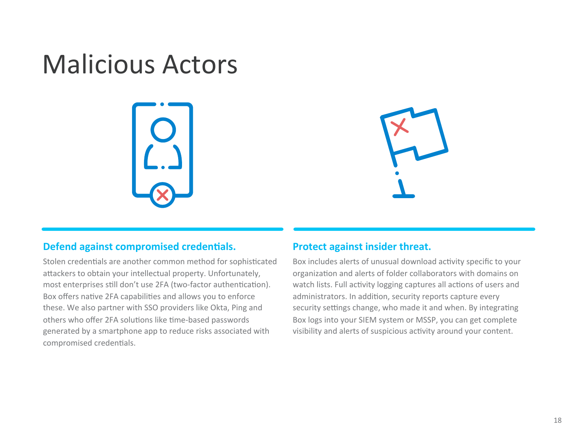### Malicious Actors





#### **Defend against compromised credentials.**

Stolen credentials are another common method for sophisticated attackers to obtain your intellectual property. Unfortunately, most enterprises still don't use 2FA (two-factor authentication). Box offers native 2FA capabilities and allows you to enforce these. We also partner with SSO providers like Okta, Ping and others who offer 2FA solutions like time-based passwords generated by a smartphone app to reduce risks associated with compromised credentials.

#### **Protect against insider threat.**

Box includes alerts of unusual download activity specific to your organization and alerts of folder collaborators with domains on watch lists. Full activity logging captures all actions of users and administrators. In addition, security reports capture every security settings change, who made it and when. By integrating Box logs into your SIEM system or MSSP, you can get complete visibility and alerts of suspicious activity around your content.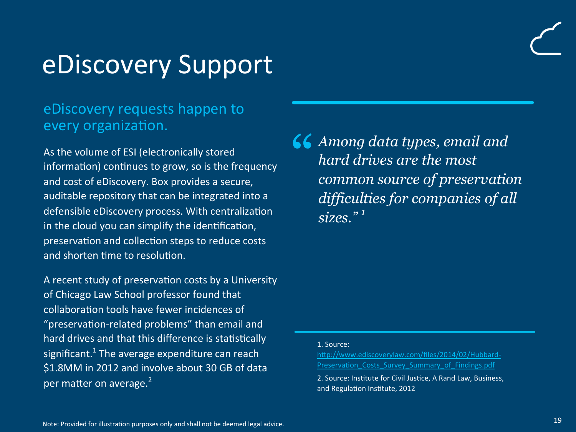### eDiscovery Support

### eDiscovery requests happen to every organization.

As the volume of ESI (electronically stored information) continues to grow, so is the frequency and cost of eDiscovery. Box provides a secure, auditable repository that can be integrated into a defensible eDiscovery process. With centralization in the cloud you can simplify the identification, preservation and collection steps to reduce costs and shorten time to resolution.

A recent study of preservation costs by a University of Chicago Law School professor found that collaboration tools have fewer incidences of "preservation-related problems" than email and hard drives and that this difference is statistically significant.<sup>1</sup> The average expenditure can reach \$1.8MM in 2012 and involve about 30 GB of data per matter on average.<sup>2</sup>

" *Among data types, email and hard drives are the most common source of preservation difficulties for companies of all sizes." <sup>1</sup>*

#### 1. Source:

http://www.ediscoverylaw.com/files/2014/02/Hubbard-Preservation Costs Survey Summary of Findings.pdf

2. Source: Institute for Civil Justice, A Rand Law, Business, and Regulation Institute, 2012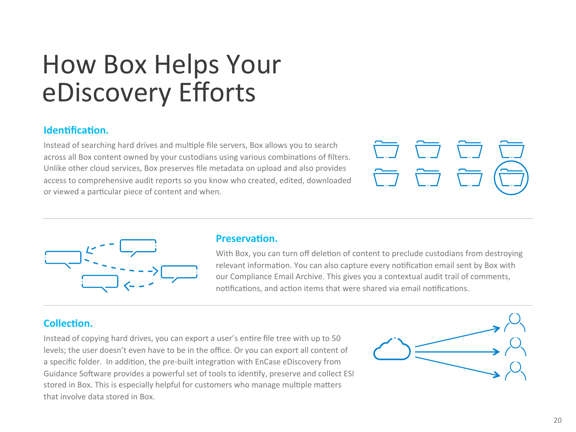## How Box Helps Your eDiscovery Efforts

#### **Identification.**

Instead of searching hard drives and multiple file servers, Box allows you to search across all Box content owned by your custodians using various combinations of filters. Unlike other cloud services, Box preserves file metadata on upload and also provides access to comprehensive audit reports so you know who created, edited, downloaded or viewed a particular piece of content and when.





#### **Preservation.**

With Box, you can turn off deletion of content to preclude custodians from destroying relevant information. You can also capture every notification email sent by Box with our Compliance Email Archive. This gives you a contextual audit trail of comments, notifications, and action items that were shared via email notifications.

### **Collection.**

Instead of copying hard drives, you can export a user's entire file tree with up to 50 levels; the user doesn't even have to be in the office. Or you can export all content of a specific folder. In addition, the pre-built integration with EnCase eDiscovery from Guidance Software provides a powerful set of tools to identify, preserve and collect ESI stored in Box. This is especially helpful for customers who manage multiple matters that involve data stored in Box.

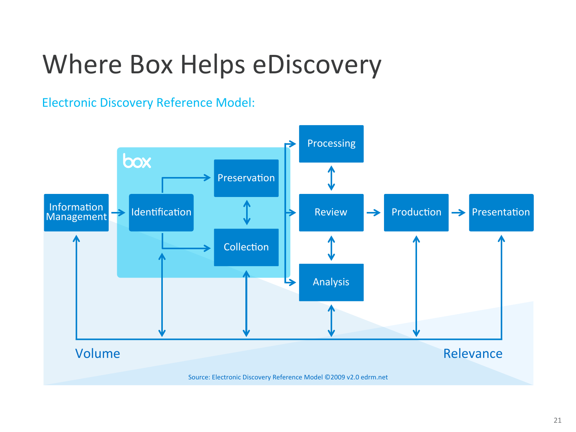# Where Box Helps eDiscovery

**Electronic Discovery Reference Model:** 

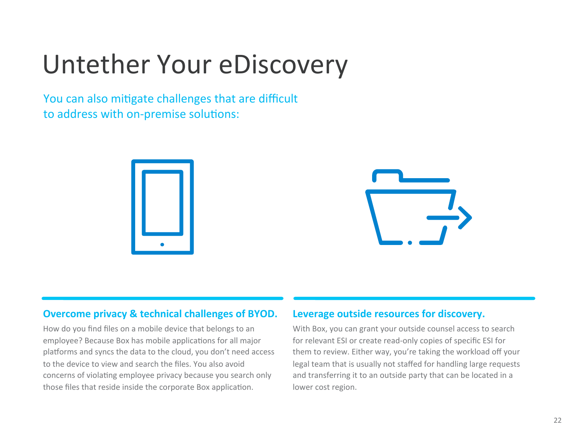# Untether Your eDiscovery

You can also mitigate challenges that are difficult to address with on-premise solutions:





#### **Overcome privacy & technical challenges of BYOD.**

How do you find files on a mobile device that belongs to an employee? Because Box has mobile applications for all major platforms and syncs the data to the cloud, you don't need access to the device to view and search the files. You also avoid concerns of violating employee privacy because you search only those files that reside inside the corporate Box application.

#### Leverage outside resources for discovery.

With Box, you can grant your outside counsel access to search for relevant ESI or create read-only copies of specific ESI for them to review. Either way, you're taking the workload off your legal team that is usually not staffed for handling large requests and transferring it to an outside party that can be located in a lower cost region.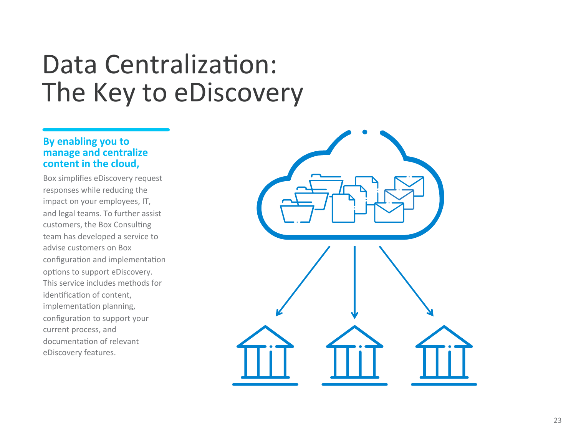### Data Centralization: The Key to eDiscovery

### **By enabling you to manage and centralize** content in the cloud,

Box simplifies eDiscovery request responses while reducing the impact on your employees, IT, and legal teams. To further assist customers, the Box Consulting team has developed a service to advise customers on Box configuration and implementation options to support eDiscovery. This service includes methods for identification of content. implementation planning, configuration to support your current process, and documentation of relevant eDiscovery features.

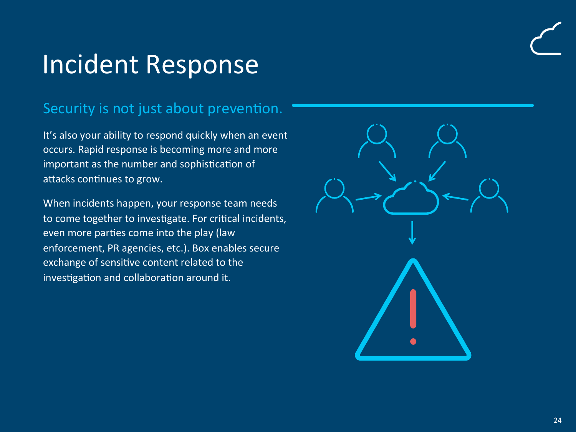# Incident Response

### Security is not just about prevention.

It's also your ability to respond quickly when an event occurs. Rapid response is becoming more and more important as the number and sophistication of attacks continues to grow.

When incidents happen, your response team needs to come together to investigate. For critical incidents, even more parties come into the play (law enforcement, PR agencies, etc.). Box enables secure exchange of sensitive content related to the investigation and collaboration around it.

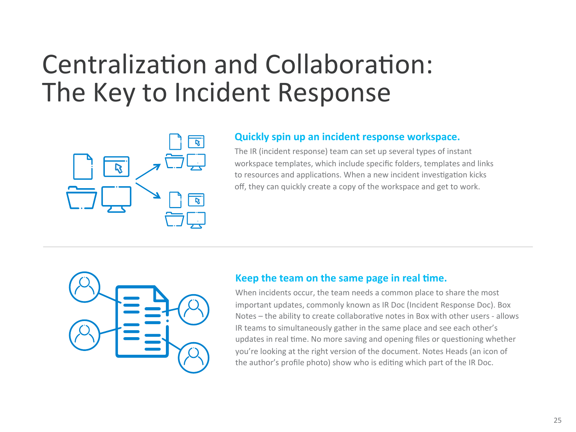# Centralization and Collaboration: The Key to Incident Response



#### **Quickly spin up an incident response workspace.**

The IR (incident response) team can set up several types of instant workspace templates, which include specific folders, templates and links to resources and applications. When a new incident investigation kicks off, they can quickly create a copy of the workspace and get to work.



#### **Keep the team on the same page in real time.**

When incidents occur, the team needs a common place to share the most important updates, commonly known as IR Doc (Incident Response Doc). Box Notes – the ability to create collaborative notes in Box with other users - allows IR teams to simultaneously gather in the same place and see each other's updates in real time. No more saving and opening files or questioning whether you're looking at the right version of the document. Notes Heads (an icon of the author's profile photo) show who is editing which part of the IR Doc.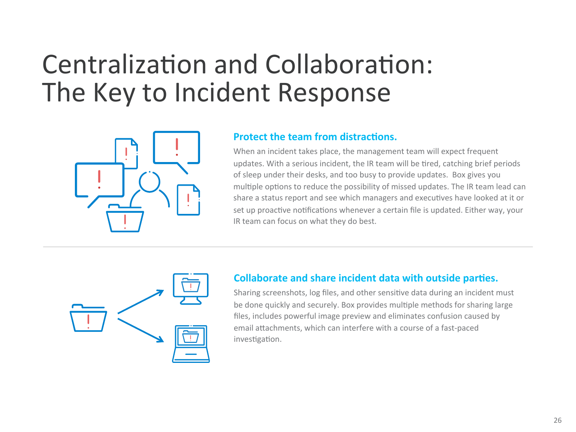# Centralization and Collaboration: The Key to Incident Response



#### **Protect the team from distractions.**

When an incident takes place, the management team will expect frequent updates. With a serious incident, the IR team will be tired, catching brief periods of sleep under their desks, and too busy to provide updates. Box gives you multiple options to reduce the possibility of missed updates. The IR team lead can share a status report and see which managers and executives have looked at it or set up proactive notifications whenever a certain file is updated. Either way, your IR team can focus on what they do best.



### **Collaborate and share incident data with outside parties.**

Sharing screenshots, log files, and other sensitive data during an incident must be done quickly and securely. Box provides multiple methods for sharing large files, includes powerful image preview and eliminates confusion caused by email attachments, which can interfere with a course of a fast-paced investigation.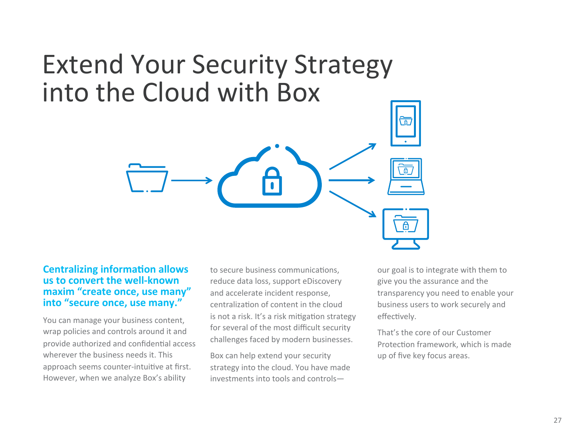### Extend Your Security Strategy into the Cloud with Box

#### **Centralizing information allows us to convert the well-known** maxim "create once, use many" **into "secure once, use many."**

You can manage your business content, wrap policies and controls around it and provide authorized and confidential access wherever the business needs it. This approach seems counter-intuitive at first. However, when we analyze Box's ability

to secure business communications, reduce data loss, support eDiscovery and accelerate incident response. centralization of content in the cloud is not a risk. It's a risk mitigation strategy for several of the most difficult security challenges faced by modern businesses.

Box can help extend your security strategy into the cloud. You have made  $investments$  into tools and controls—

our goal is to integrate with them to give you the assurance and the transparency you need to enable your business users to work securely and effectively.

That's the core of our Customer Protection framework, which is made up of five key focus areas.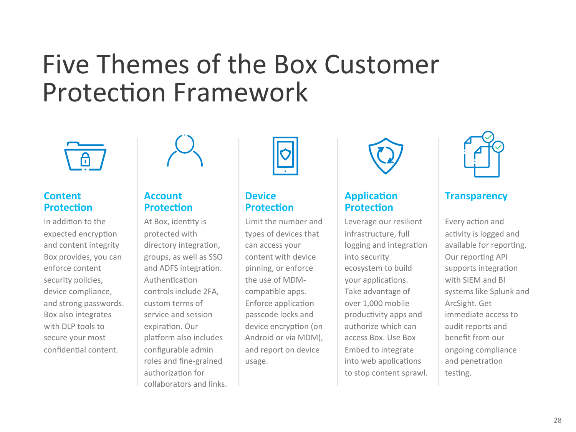### Five Themes of the Box Customer **Protection Framework**



### **Content Protection**

In addition to the expected encryption and content integrity Box provides, you can enforce content security policies, device compliance, and strong passwords. Box also integrates with DLP tools to secure your most confidential content.



### **Account Protection**

At Box, identity is protected with directory integration, groups, as well as SSO and ADFS integration. Authentication controls include 2FA. custom terms of service and session expiration. Our platform also includes configurable admin roles and fine-grained authorization for collaborators and links.



### **Device Protection**

Limit the number and types of devices that can access your content with device pinning, or enforce the use of MDMcompatible apps. Enforce application passcode locks and device encryption (on Android or via MDM), and report on device usage. 



### **Application Protection**

Leverage our resilient infrastructure, full logging and integration into security ecosystem to build your applications. Take advantage of over 1,000 mobile productivity apps and authorize which can access Box. Use Box Embed to integrate into web applications to stop content sprawl.



### **Transparency**

Every action and activity is logged and available for reporting. Our reporting API supports integration with SIEM and BI systems like Splunk and ArcSight. Get immediate access to audit reports and benefit from our ongoing compliance and penetration testing.